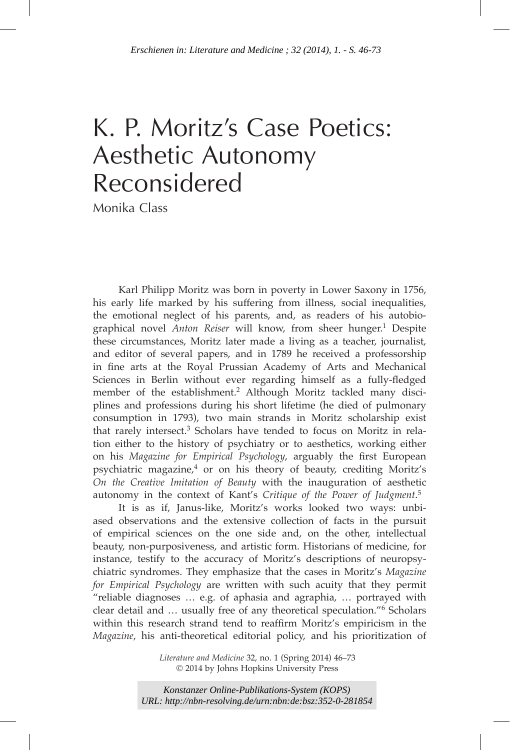# K. P. Moritz's Case Poetics: Aesthetic Autonomy Reconsidered

Monika Class

Karl Philipp Moritz was born in poverty in Lower Saxony in 1756, his early life marked by his suffering from illness, social inequalities, the emotional neglect of his parents, and, as readers of his autobiographical novel *Anton Reiser* will know, from sheer hunger.1 Despite these circumstances, Moritz later made a living as a teacher, journalist, and editor of several papers, and in 1789 he received a professorship in fine arts at the Royal Prussian Academy of Arts and Mechanical Sciences in Berlin without ever regarding himself as a fully-fledged member of the establishment.2 Although Moritz tackled many disciplines and professions during his short lifetime (he died of pulmonary consumption in 1793), two main strands in Moritz scholarship exist that rarely intersect.3 Scholars have tended to focus on Moritz in relation either to the history of psychiatry or to aesthetics, working either on his *Magazine for Empirical Psychology*, arguably the first European psychiatric magazine,4 or on his theory of beauty, crediting Moritz's *On the Creative Imitation of Beauty* with the inauguration of aesthetic autonomy in the context of Kant's *Critique of the Power of Judgment*. 5 *Erschienen in: Literature and Medicine : 32 (2014), 1. - S. 46-73*<br> **P.** MOPITZ'S Case POetics<br>
The marked by his suffering from illness, social in<br>
1 Class<br>
1 *URLA* Case is a matrix and a resolution and the marked by hi

It is as if, Janus-like, Moritz's works looked two ways: unbiased observations and the extensive collection of facts in the pursuit of empirical sciences on the one side and, on the other, intellectual beauty, non-purposiveness, and artistic form. Historians of medicine, for instance, testify to the accuracy of Moritz's descriptions of neuropsychiatric syndromes. They emphasize that the cases in Moritz's *Magazine for Empirical Psychology* are written with such acuity that they permit "reliable diagnoses … e.g. of aphasia and agraphia, … portrayed with clear detail and … usually free of any theoretical speculation."6 Scholars within this research strand tend to reaffirm Moritz's empiricism in the *Magazine*, his anti-theoretical editorial policy, and his prioritization of

> *Literature and Medicine* 32, no. 1 (Spring 2014) 46–73 © 2014 by Johns Hopkins University Press

*Konstanzer Online-Publikations-System (KOPS)*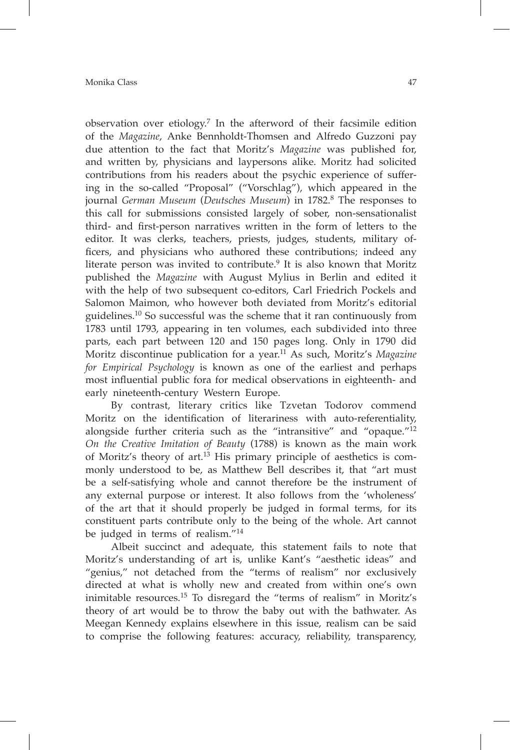observation over etiology.7 In the afterword of their facsimile edition of the *Magazine*, Anke Bennholdt-Thomsen and Alfredo Guzzoni pay due attention to the fact that Moritz's *Magazine* was published for, and written by, physicians and laypersons alike. Moritz had solicited contributions from his readers about the psychic experience of suffering in the so-called "Proposal" ("Vorschlag"), which appeared in the journal *German Museum* (*Deutsches Museum*) in 1782.8 The responses to this call for submissions consisted largely of sober, non-sensationalist third- and first-person narratives written in the form of letters to the editor. It was clerks, teachers, priests, judges, students, military officers, and physicians who authored these contributions; indeed any literate person was invited to contribute.<sup>9</sup> It is also known that Moritz published the *Magazine* with August Mylius in Berlin and edited it with the help of two subsequent co-editors, Carl Friedrich Pockels and Salomon Maimon, who however both deviated from Moritz's editorial guidelines.10 So successful was the scheme that it ran continuously from 1783 until 1793, appearing in ten volumes, each subdivided into three parts, each part between 120 and 150 pages long. Only in 1790 did Moritz discontinue publication for a year.<sup>11</sup> As such, Moritz's *Magazine for Empirical Psychology* is known as one of the earliest and perhaps most influential public fora for medical observations in eighteenth- and early nineteenth-century Western Europe.

By contrast, literary critics like Tzvetan Todorov commend Moritz on the identification of literariness with auto-referentiality, alongside further criteria such as the "intransitive" and "opaque."<sup>12</sup> *On the Creative Imitation of Beauty* (1788) is known as the main work of Moritz's theory of art.13 His primary principle of aesthetics is commonly understood to be, as Matthew Bell describes it, that "art must be a self-satisfying whole and cannot therefore be the instrument of any external purpose or interest. It also follows from the 'wholeness' of the art that it should properly be judged in formal terms, for its constituent parts contribute only to the being of the whole. Art cannot be judged in terms of realism."<sup>14</sup>

Albeit succinct and adequate, this statement fails to note that Moritz's understanding of art is, unlike Kant's "aesthetic ideas" and "genius," not detached from the "terms of realism" nor exclusively directed at what is wholly new and created from within one's own inimitable resources.15 To disregard the "terms of realism" in Moritz's theory of art would be to throw the baby out with the bathwater. As Meegan Kennedy explains elsewhere in this issue, realism can be said to comprise the following features: accuracy, reliability, transparency,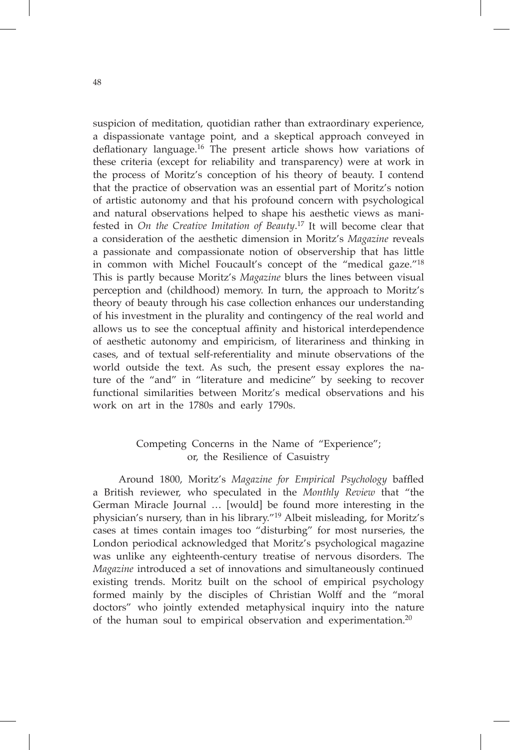suspicion of meditation, quotidian rather than extraordinary experience, a dispassionate vantage point, and a skeptical approach conveyed in deflationary language.<sup>16</sup> The present article shows how variations of these criteria (except for reliability and transparency) were at work in the process of Moritz's conception of his theory of beauty. I contend that the practice of observation was an essential part of Moritz's notion of artistic autonomy and that his profound concern with psychological and natural observations helped to shape his aesthetic views as manifested in *On the Creative Imitation of Beauty*. 17 It will become clear that a consideration of the aesthetic dimension in Moritz's *Magazine* reveals a passionate and compassionate notion of observership that has little in common with Michel Foucault's concept of the "medical gaze."<sup>18</sup> This is partly because Moritz's *Magazine* blurs the lines between visual perception and (childhood) memory. In turn, the approach to Moritz's theory of beauty through his case collection enhances our understanding of his investment in the plurality and contingency of the real world and allows us to see the conceptual affinity and historical interdependence of aesthetic autonomy and empiricism, of literariness and thinking in cases, and of textual self-referentiality and minute observations of the world outside the text. As such, the present essay explores the nature of the "and" in "literature and medicine" by seeking to recover functional similarities between Moritz's medical observations and his work on art in the 1780s and early 1790s.

## Competing Concerns in the Name of "Experience"; or, the Resilience of Casuistry

Around 1800, Moritz's *Magazine for Empirical Psychology* baffled a British reviewer, who speculated in the *Monthly Review* that "the German Miracle Journal … [would] be found more interesting in the physician's nursery, than in his library."19 Albeit misleading, for Moritz's cases at times contain images too "disturbing" for most nurseries, the London periodical acknowledged that Moritz's psychological magazine was unlike any eighteenth-century treatise of nervous disorders. The *Magazine* introduced a set of innovations and simultaneously continued existing trends. Moritz built on the school of empirical psychology formed mainly by the disciples of Christian Wolff and the "moral doctors" who jointly extended metaphysical inquiry into the nature of the human soul to empirical observation and experimentation.20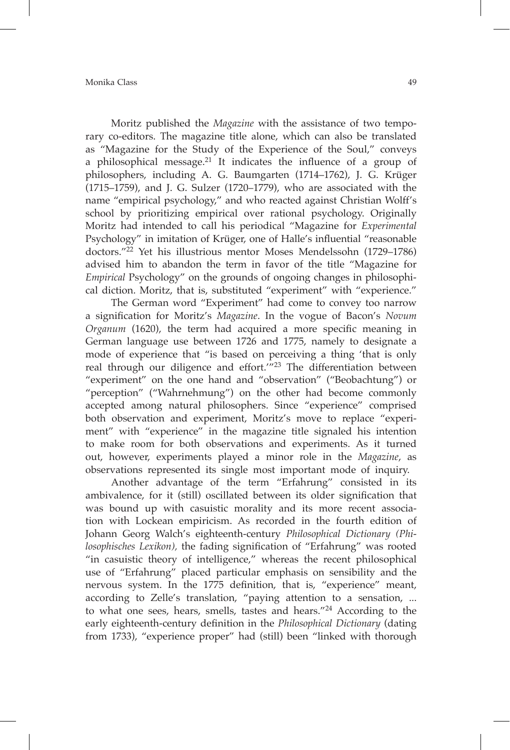Moritz published the *Magazine* with the assistance of two temporary co-editors. The magazine title alone, which can also be translated as "Magazine for the Study of the Experience of the Soul," conveys a philosophical message.21 It indicates the influence of a group of philosophers, including A. G. Baumgarten (1714–1762), J. G. Krüger (1715–1759), and J. G. Sulzer (1720–1779), who are associated with the name "empirical psychology," and who reacted against Christian Wolff's school by prioritizing empirical over rational psychology. Originally Moritz had intended to call his periodical "Magazine for *Experimental* Psychology" in imitation of Krüger, one of Halle's influential "reasonable doctors."22 Yet his illustrious mentor Moses Mendelssohn (1729–1786) advised him to abandon the term in favor of the title "Magazine for *Empirical* Psychology" on the grounds of ongoing changes in philosophical diction. Moritz, that is, substituted "experiment" with "experience."

The German word "Experiment" had come to convey too narrow a signification for Moritz's *Magazine*. In the vogue of Bacon's *Novum Organum* (1620), the term had acquired a more specific meaning in German language use between 1726 and 1775, namely to designate a mode of experience that "is based on perceiving a thing 'that is only real through our diligence and effort.'"23 The differentiation between "experiment" on the one hand and "observation" ("Beobachtung") or "perception" ("Wahrnehmung") on the other had become commonly accepted among natural philosophers. Since "experience" comprised both observation and experiment, Moritz's move to replace "experiment" with "experience" in the magazine title signaled his intention to make room for both observations and experiments. As it turned out, however, experiments played a minor role in the *Magazine*, as observations represented its single most important mode of inquiry.

Another advantage of the term "Erfahrung" consisted in its ambivalence, for it (still) oscillated between its older signification that was bound up with casuistic morality and its more recent association with Lockean empiricism. As recorded in the fourth edition of Johann Georg Walch's eighteenth-century *Philosophical Dictionary (Philosophisches Lexikon),* the fading signification of "Erfahrung" was rooted "in casuistic theory of intelligence," whereas the recent philosophical use of "Erfahrung" placed particular emphasis on sensibility and the nervous system. In the 1775 definition, that is, "experience" meant, according to Zelle's translation, "paying attention to a sensation, ... to what one sees, hears, smells, tastes and hears."24 According to the early eighteenth-century definition in the *Philosophical Dictionary* (dating from 1733), "experience proper" had (still) been "linked with thorough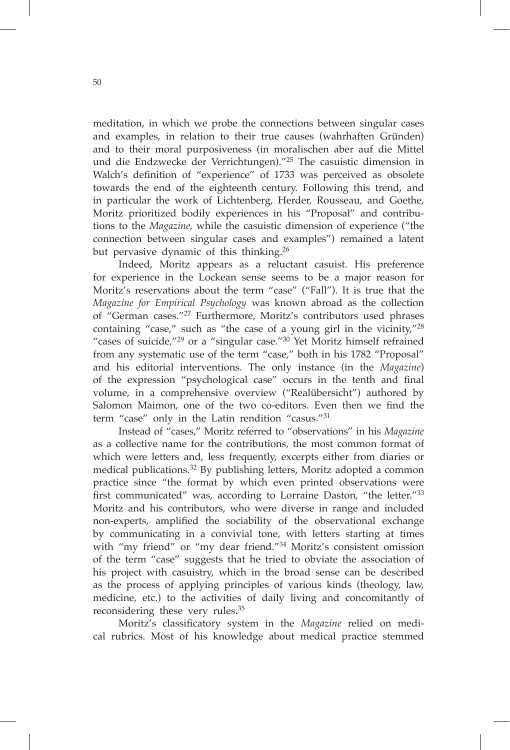meditation, in which we probe the connections between singular cases and examples, in relation to their true causes (wahrhaften Gründen) and to their moral purposiveness (in moralischen aber auf die Mittel und die Endzwecke der Verrichtungen)."25 The casuistic dimension in Walch's definition of "experience" of 1733 was perceived as obsolete towards the end of the eighteenth century. Following this trend, and in particular the work of Lichtenberg, Herder, Rousseau, and Goethe, Moritz prioritized bodily experiences in his "Proposal" and contributions to the *Magazine*, while the casuistic dimension of experience ("the connection between singular cases and examples") remained a latent but pervasive dynamic of this thinking.<sup>26</sup>

Indeed, Moritz appears as a reluctant casuist. His preference for experience in the Lockean sense seems to be a major reason for Moritz's reservations about the term "case" ("Fall"). It is true that the *Magazine for Empirical Psychology* was known abroad as the collection of "German cases."27 Furthermore, Moritz's contributors used phrases containing "case," such as "the case of a young girl in the vicinity,"<sup>28</sup> "cases of suicide,"<sup>29</sup> or a "singular case."<sup>30</sup> Yet Moritz himself refrained from any systematic use of the term "case," both in his 1782 "Proposal" and his editorial interventions. The only instance (in the *Magazine*) of the expression "psychological case" occurs in the tenth and final volume, in a comprehensive overview ("Realübersicht") authored by Salomon Maimon, one of the two co-editors. Even then we find the term "case" only in the Latin rendition "casus."<sup>31</sup>

Instead of "cases," Moritz referred to "observations" in his *Magazine* as a collective name for the contributions, the most common format of which were letters and, less frequently, excerpts either from diaries or medical publications.32 By publishing letters, Moritz adopted a common practice since "the format by which even printed observations were first communicated" was, according to Lorraine Daston, "the letter."33 Moritz and his contributors, who were diverse in range and included non-experts, amplified the sociability of the observational exchange by communicating in a convivial tone, with letters starting at times with "my friend" or "my dear friend."<sup>34</sup> Moritz's consistent omission of the term "case" suggests that he tried to obviate the association of his project with casuistry, which in the broad sense can be described as the process of applying principles of various kinds (theology, law, medicine, etc.) to the activities of daily living and concomitantly of reconsidering these very rules.<sup>35</sup>

Moritz's classificatory system in the *Magazine* relied on medical rubrics. Most of his knowledge about medical practice stemmed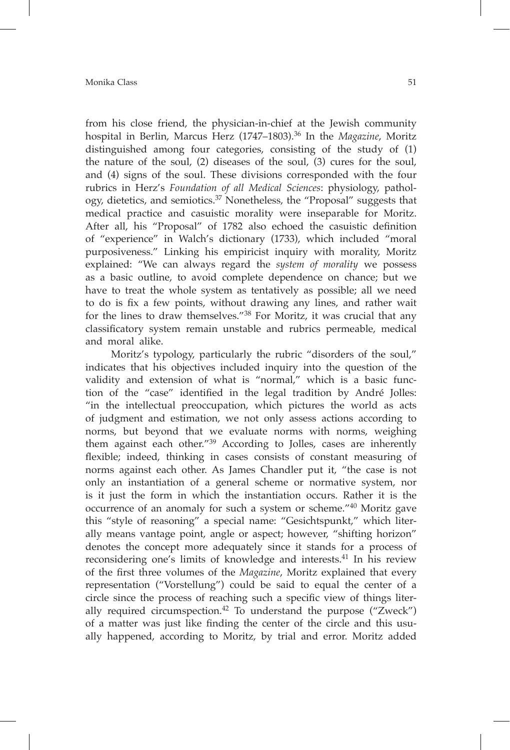from his close friend, the physician-in-chief at the Jewish community hospital in Berlin, Marcus Herz (1747–1803).36 In the *Magazine*, Moritz distinguished among four categories, consisting of the study of (1) the nature of the soul, (2) diseases of the soul, (3) cures for the soul, and (4) signs of the soul. These divisions corresponded with the four rubrics in Herz's *Foundation of all Medical Sciences*: physiology, pathology, dietetics, and semiotics.37 Nonetheless, the "Proposal" suggests that medical practice and casuistic morality were inseparable for Moritz. After all, his "Proposal" of 1782 also echoed the casuistic definition of "experience" in Walch's dictionary (1733), which included "moral purposiveness." Linking his empiricist inquiry with morality, Moritz explained: "We can always regard the *system of morality* we possess as a basic outline, to avoid complete dependence on chance; but we have to treat the whole system as tentatively as possible; all we need to do is fix a few points, without drawing any lines, and rather wait for the lines to draw themselves."38 For Moritz, it was crucial that any classificatory system remain unstable and rubrics permeable, medical and moral alike.

Moritz's typology, particularly the rubric "disorders of the soul," indicates that his objectives included inquiry into the question of the validity and extension of what is "normal," which is a basic function of the "case" identified in the legal tradition by André Jolles: "in the intellectual preoccupation, which pictures the world as acts of judgment and estimation, we not only assess actions according to norms, but beyond that we evaluate norms with norms, weighing them against each other."<sup>39</sup> According to Jolles, cases are inherently flexible; indeed, thinking in cases consists of constant measuring of norms against each other. As James Chandler put it, "the case is not only an instantiation of a general scheme or normative system, nor is it just the form in which the instantiation occurs. Rather it is the occurrence of an anomaly for such a system or scheme."40 Moritz gave this "style of reasoning" a special name: "Gesichtspunkt," which literally means vantage point, angle or aspect; however, "shifting horizon" denotes the concept more adequately since it stands for a process of reconsidering one's limits of knowledge and interests.41 In his review of the first three volumes of the *Magazine*, Moritz explained that every representation ("Vorstellung") could be said to equal the center of a circle since the process of reaching such a specific view of things literally required circumspection.<sup>42</sup> To understand the purpose ("Zweck") of a matter was just like finding the center of the circle and this usually happened, according to Moritz, by trial and error. Moritz added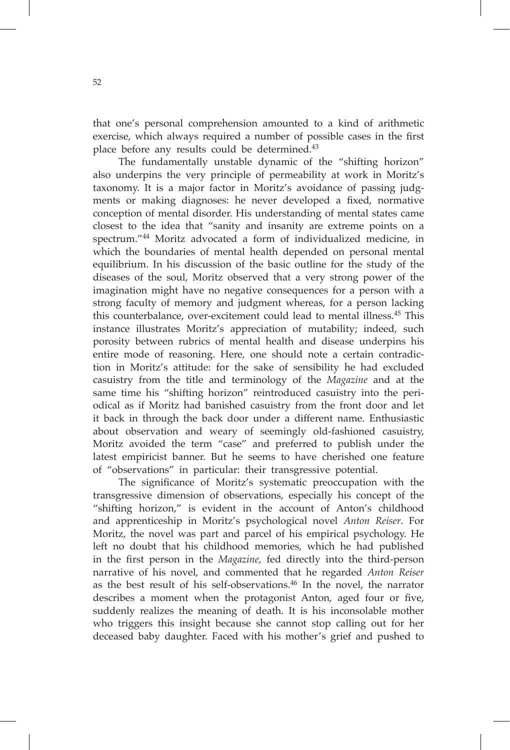that one's personal comprehension amounted to a kind of arithmetic exercise, which always required a number of possible cases in the first place before any results could be determined.43

The fundamentally unstable dynamic of the "shifting horizon" also underpins the very principle of permeability at work in Moritz's taxonomy. It is a major factor in Moritz's avoidance of passing judgments or making diagnoses: he never developed a fixed, normative conception of mental disorder. His understanding of mental states came closest to the idea that "sanity and insanity are extreme points on a spectrum."44 Moritz advocated a form of individualized medicine, in which the boundaries of mental health depended on personal mental equilibrium. In his discussion of the basic outline for the study of the diseases of the soul, Moritz observed that a very strong power of the imagination might have no negative consequences for a person with a strong faculty of memory and judgment whereas, for a person lacking this counterbalance, over-excitement could lead to mental illness.45 This instance illustrates Moritz's appreciation of mutability; indeed, such porosity between rubrics of mental health and disease underpins his entire mode of reasoning. Here, one should note a certain contradiction in Moritz's attitude: for the sake of sensibility he had excluded casuistry from the title and terminology of the *Magazine* and at the same time his "shifting horizon" reintroduced casuistry into the periodical as if Moritz had banished casuistry from the front door and let it back in through the back door under a different name. Enthusiastic about observation and weary of seemingly old-fashioned casuistry, Moritz avoided the term "case" and preferred to publish under the latest empiricist banner. But he seems to have cherished one feature of "observations" in particular: their transgressive potential.

The significance of Moritz's systematic preoccupation with the transgressive dimension of observations, especially his concept of the "shifting horizon," is evident in the account of Anton's childhood and apprenticeship in Moritz's psychological novel *Anton Reiser*. For Moritz, the novel was part and parcel of his empirical psychology. He left no doubt that his childhood memories, which he had published in the first person in the *Magazine*, fed directly into the third-person narrative of his novel, and commented that he regarded *Anton Reiser* as the best result of his self-observations.46 In the novel, the narrator describes a moment when the protagonist Anton, aged four or five, suddenly realizes the meaning of death. It is his inconsolable mother who triggers this insight because she cannot stop calling out for her deceased baby daughter. Faced with his mother's grief and pushed to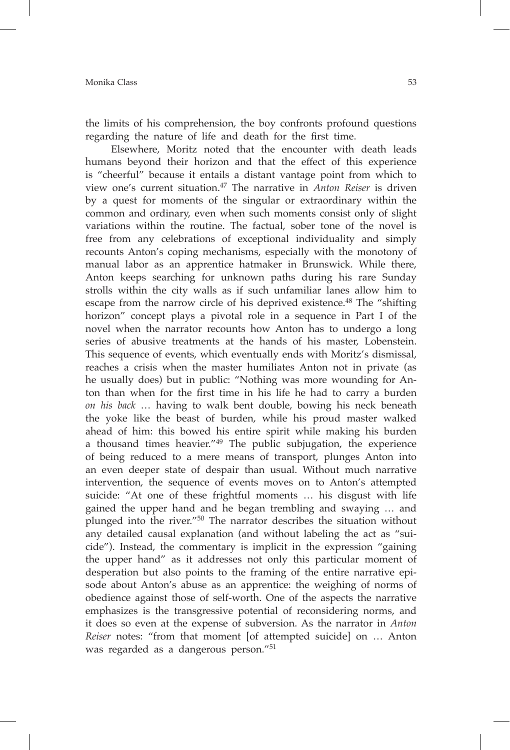the limits of his comprehension, the boy confronts profound questions regarding the nature of life and death for the first time.

Elsewhere, Moritz noted that the encounter with death leads humans beyond their horizon and that the effect of this experience is "cheerful" because it entails a distant vantage point from which to view one's current situation.47 The narrative in *Anton Reiser* is driven by a quest for moments of the singular or extraordinary within the common and ordinary, even when such moments consist only of slight variations within the routine. The factual, sober tone of the novel is free from any celebrations of exceptional individuality and simply recounts Anton's coping mechanisms, especially with the monotony of manual labor as an apprentice hatmaker in Brunswick. While there, Anton keeps searching for unknown paths during his rare Sunday strolls within the city walls as if such unfamiliar lanes allow him to escape from the narrow circle of his deprived existence.<sup>48</sup> The "shifting" horizon" concept plays a pivotal role in a sequence in Part I of the novel when the narrator recounts how Anton has to undergo a long series of abusive treatments at the hands of his master, Lobenstein. This sequence of events, which eventually ends with Moritz's dismissal, reaches a crisis when the master humiliates Anton not in private (as he usually does) but in public: "Nothing was more wounding for Anton than when for the first time in his life he had to carry a burden *on his back* … having to walk bent double, bowing his neck beneath the yoke like the beast of burden, while his proud master walked ahead of him: this bowed his entire spirit while making his burden a thousand times heavier."49 The public subjugation, the experience of being reduced to a mere means of transport, plunges Anton into an even deeper state of despair than usual. Without much narrative intervention, the sequence of events moves on to Anton's attempted suicide: "At one of these frightful moments … his disgust with life gained the upper hand and he began trembling and swaying … and plunged into the river."50 The narrator describes the situation without any detailed causal explanation (and without labeling the act as "suicide"). Instead, the commentary is implicit in the expression "gaining the upper hand" as it addresses not only this particular moment of desperation but also points to the framing of the entire narrative episode about Anton's abuse as an apprentice: the weighing of norms of obedience against those of self-worth. One of the aspects the narrative emphasizes is the transgressive potential of reconsidering norms, and it does so even at the expense of subversion. As the narrator in *Anton Reiser* notes: "from that moment [of attempted suicide] on … Anton was regarded as a dangerous person."51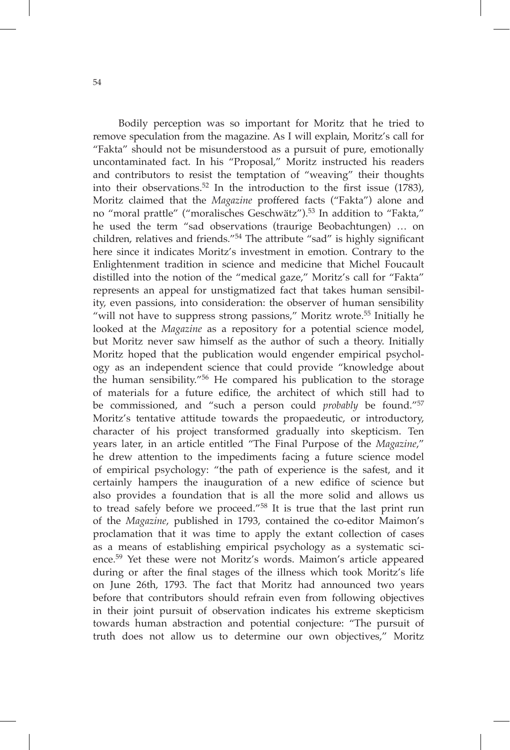Bodily perception was so important for Moritz that he tried to remove speculation from the magazine. As I will explain, Moritz's call for "Fakta" should not be misunderstood as a pursuit of pure, emotionally uncontaminated fact. In his "Proposal," Moritz instructed his readers and contributors to resist the temptation of "weaving" their thoughts into their observations.<sup>52</sup> In the introduction to the first issue (1783), Moritz claimed that the *Magazine* proffered facts ("Fakta") alone and no "moral prattle" ("moralisches Geschwätz").<sup>53</sup> In addition to "Fakta," he used the term "sad observations (traurige Beobachtungen) … on children, relatives and friends."54 The attribute "sad" is highly significant here since it indicates Moritz's investment in emotion. Contrary to the Enlightenment tradition in science and medicine that Michel Foucault distilled into the notion of the "medical gaze," Moritz's call for "Fakta" represents an appeal for unstigmatized fact that takes human sensibility, even passions, into consideration: the observer of human sensibility "will not have to suppress strong passions," Moritz wrote.<sup>55</sup> Initially he looked at the *Magazine* as a repository for a potential science model, but Moritz never saw himself as the author of such a theory. Initially Moritz hoped that the publication would engender empirical psychology as an independent science that could provide "knowledge about the human sensibility."56 He compared his publication to the storage of materials for a future edifice, the architect of which still had to be commissioned, and "such a person could *probably* be found."<sup>57</sup> Moritz's tentative attitude towards the propaedeutic, or introductory, character of his project transformed gradually into skepticism. Ten years later, in an article entitled "The Final Purpose of the *Magazine*," he drew attention to the impediments facing a future science model of empirical psychology: "the path of experience is the safest, and it certainly hampers the inauguration of a new edifice of science but also provides a foundation that is all the more solid and allows us to tread safely before we proceed."58 It is true that the last print run of the *Magazine*, published in 1793, contained the co-editor Maimon's proclamation that it was time to apply the extant collection of cases as a means of establishing empirical psychology as a systematic science.59 Yet these were not Moritz's words. Maimon's article appeared during or after the final stages of the illness which took Moritz's life on June 26th, 1793. The fact that Moritz had announced two years before that contributors should refrain even from following objectives in their joint pursuit of observation indicates his extreme skepticism towards human abstraction and potential conjecture: "The pursuit of truth does not allow us to determine our own objectives," Moritz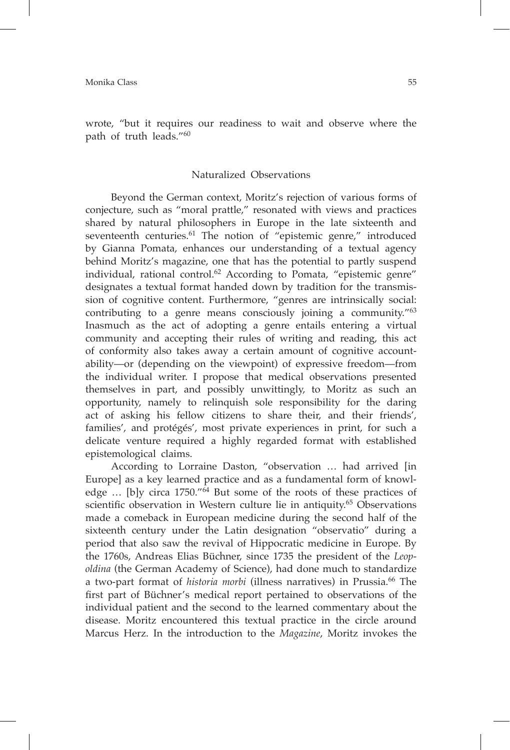wrote, "but it requires our readiness to wait and observe where the path of truth leads."<sup>60</sup>

## Naturalized Observations

Beyond the German context, Moritz's rejection of various forms of conjecture, such as "moral prattle," resonated with views and practices shared by natural philosophers in Europe in the late sixteenth and seventeenth centuries.<sup>61</sup> The notion of "epistemic genre," introduced by Gianna Pomata, enhances our understanding of a textual agency behind Moritz's magazine, one that has the potential to partly suspend individual, rational control.<sup>62</sup> According to Pomata, "epistemic genre" designates a textual format handed down by tradition for the transmission of cognitive content. Furthermore, "genres are intrinsically social: contributing to a genre means consciously joining a community."<sup>63</sup> Inasmuch as the act of adopting a genre entails entering a virtual community and accepting their rules of writing and reading, this act of conformity also takes away a certain amount of cognitive accountability—or (depending on the viewpoint) of expressive freedom—from the individual writer. I propose that medical observations presented themselves in part, and possibly unwittingly, to Moritz as such an opportunity, namely to relinquish sole responsibility for the daring act of asking his fellow citizens to share their, and their friends', families', and protégés', most private experiences in print, for such a delicate venture required a highly regarded format with established epistemological claims.

According to Lorraine Daston, "observation … had arrived [in Europe] as a key learned practice and as a fundamental form of knowledge … [b]y circa 1750."64 But some of the roots of these practices of scientific observation in Western culture lie in antiquity.<sup>65</sup> Observations made a comeback in European medicine during the second half of the sixteenth century under the Latin designation "observatio" during a period that also saw the revival of Hippocratic medicine in Europe. By the 1760s, Andreas Elias Büchner, since 1735 the president of the *Leopoldina* (the German Academy of Science), had done much to standardize a two-part format of *historia morbi* (illness narratives) in Prussia.66 The first part of Büchner's medical report pertained to observations of the individual patient and the second to the learned commentary about the disease. Moritz encountered this textual practice in the circle around Marcus Herz. In the introduction to the *Magazine*, Moritz invokes the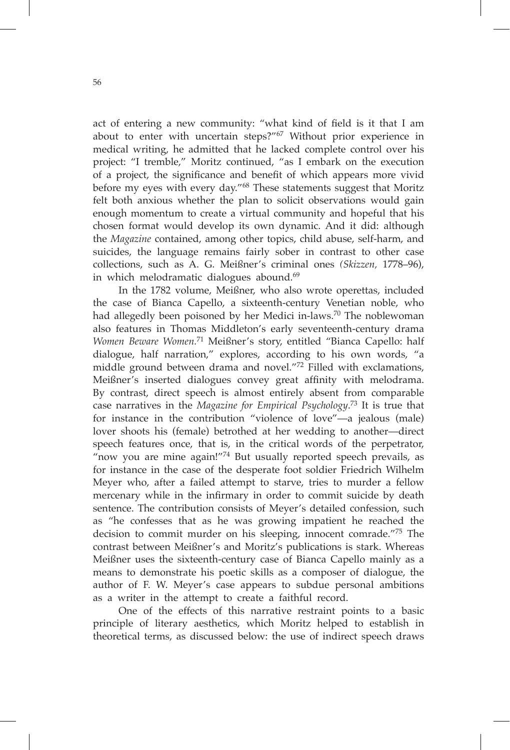act of entering a new community: "what kind of field is it that I am about to enter with uncertain steps?"67 Without prior experience in medical writing, he admitted that he lacked complete control over his project: "I tremble," Moritz continued, "as I embark on the execution of a project, the significance and benefit of which appears more vivid before my eyes with every day."68 These statements suggest that Moritz felt both anxious whether the plan to solicit observations would gain enough momentum to create a virtual community and hopeful that his chosen format would develop its own dynamic. And it did: although the *Magazine* contained, among other topics, child abuse, self-harm, and suicides, the language remains fairly sober in contrast to other case collections, such as A. G. Meißner's criminal ones *(Skizzen,* 1778–96), in which melodramatic dialogues abound.<sup>69</sup>

In the 1782 volume, Meißner, who also wrote operettas, included the case of Bianca Capello, a sixteenth-century Venetian noble, who had allegedly been poisoned by her Medici in-laws.<sup>70</sup> The noblewoman also features in Thomas Middleton's early seventeenth-century drama *Women Beware Women.*<sup>71</sup> Meißner's story, entitled "Bianca Capello: half dialogue, half narration," explores, according to his own words, "a middle ground between drama and novel."72 Filled with exclamations, Meißner's inserted dialogues convey great affinity with melodrama. By contrast, direct speech is almost entirely absent from comparable case narratives in the *Magazine for Empirical Psychology*. 73 It is true that for instance in the contribution "violence of love"—a jealous (male) lover shoots his (female) betrothed at her wedding to another—direct speech features once, that is, in the critical words of the perpetrator, "now you are mine again!"<sup>74</sup> But usually reported speech prevails, as for instance in the case of the desperate foot soldier Friedrich Wilhelm Meyer who, after a failed attempt to starve, tries to murder a fellow mercenary while in the infirmary in order to commit suicide by death sentence. The contribution consists of Meyer's detailed confession, such as "he confesses that as he was growing impatient he reached the decision to commit murder on his sleeping, innocent comrade."75 The contrast between Meißner's and Moritz's publications is stark. Whereas Meißner uses the sixteenth-century case of Bianca Capello mainly as a means to demonstrate his poetic skills as a composer of dialogue, the author of F. W. Meyer's case appears to subdue personal ambitions as a writer in the attempt to create a faithful record.

One of the effects of this narrative restraint points to a basic principle of literary aesthetics, which Moritz helped to establish in theoretical terms, as discussed below: the use of indirect speech draws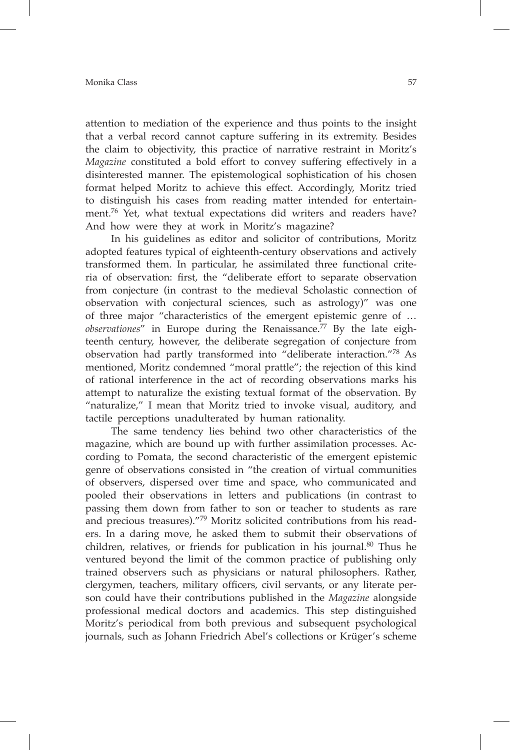attention to mediation of the experience and thus points to the insight that a verbal record cannot capture suffering in its extremity. Besides the claim to objectivity, this practice of narrative restraint in Moritz's *Magazine* constituted a bold effort to convey suffering effectively in a disinterested manner. The epistemological sophistication of his chosen format helped Moritz to achieve this effect. Accordingly, Moritz tried to distinguish his cases from reading matter intended for entertainment.76 Yet, what textual expectations did writers and readers have? And how were they at work in Moritz's magazine?

In his guidelines as editor and solicitor of contributions, Moritz adopted features typical of eighteenth-century observations and actively transformed them. In particular, he assimilated three functional criteria of observation: first, the "deliberate effort to separate observation from conjecture (in contrast to the medieval Scholastic connection of observation with conjectural sciences, such as astrology)" was one of three major "characteristics of the emergent epistemic genre of … *observationes*" in Europe during the Renaissance.77 By the late eighteenth century, however, the deliberate segregation of conjecture from observation had partly transformed into "deliberate interaction."<sup>78</sup> As mentioned, Moritz condemned "moral prattle"; the rejection of this kind of rational interference in the act of recording observations marks his attempt to naturalize the existing textual format of the observation. By "naturalize," I mean that Moritz tried to invoke visual, auditory, and tactile perceptions unadulterated by human rationality.

The same tendency lies behind two other characteristics of the magazine, which are bound up with further assimilation processes. According to Pomata, the second characteristic of the emergent epistemic genre of observations consisted in "the creation of virtual communities of observers, dispersed over time and space, who communicated and pooled their observations in letters and publications (in contrast to passing them down from father to son or teacher to students as rare and precious treasures)."79 Moritz solicited contributions from his readers. In a daring move, he asked them to submit their observations of children, relatives, or friends for publication in his journal.<sup>80</sup> Thus he ventured beyond the limit of the common practice of publishing only trained observers such as physicians or natural philosophers. Rather, clergymen, teachers, military officers, civil servants, or any literate person could have their contributions published in the *Magazine* alongside professional medical doctors and academics. This step distinguished Moritz's periodical from both previous and subsequent psychological journals, such as Johann Friedrich Abel's collections or Krüger's scheme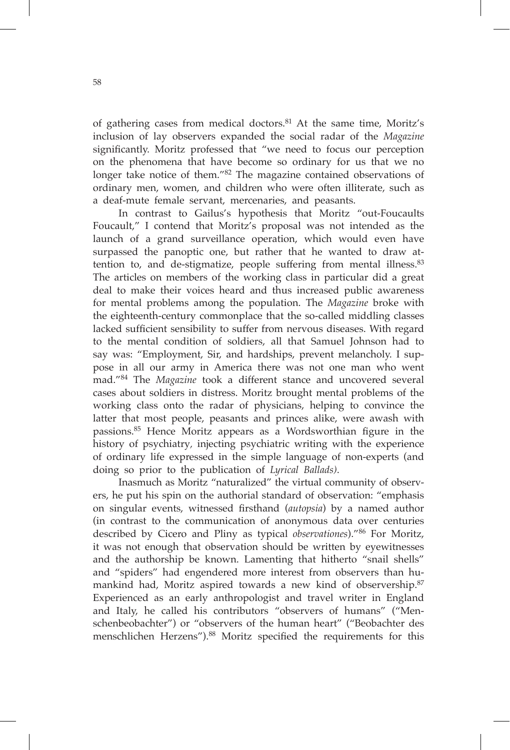of gathering cases from medical doctors.<sup>81</sup> At the same time, Moritz's inclusion of lay observers expanded the social radar of the *Magazine* significantly. Moritz professed that "we need to focus our perception on the phenomena that have become so ordinary for us that we no longer take notice of them."<sup>82</sup> The magazine contained observations of ordinary men, women, and children who were often illiterate, such as a deaf-mute female servant, mercenaries, and peasants.

In contrast to Gailus's hypothesis that Moritz "out-Foucaults Foucault," I contend that Moritz's proposal was not intended as the launch of a grand surveillance operation, which would even have surpassed the panoptic one, but rather that he wanted to draw attention to, and de-stigmatize, people suffering from mental illness.<sup>83</sup> The articles on members of the working class in particular did a great deal to make their voices heard and thus increased public awareness for mental problems among the population. The *Magazine* broke with the eighteenth-century commonplace that the so-called middling classes lacked sufficient sensibility to suffer from nervous diseases. With regard to the mental condition of soldiers, all that Samuel Johnson had to say was: "Employment, Sir, and hardships, prevent melancholy. I suppose in all our army in America there was not one man who went mad."84 The *Magazine* took a different stance and uncovered several cases about soldiers in distress. Moritz brought mental problems of the working class onto the radar of physicians, helping to convince the latter that most people, peasants and princes alike, were awash with passions.85 Hence Moritz appears as a Wordsworthian figure in the history of psychiatry*,* injecting psychiatric writing with the experience of ordinary life expressed in the simple language of non-experts (and doing so prior to the publication of *Lyrical Ballads)*.

Inasmuch as Moritz "naturalized" the virtual community of observers, he put his spin on the authorial standard of observation: "emphasis on singular events, witnessed firsthand (*autopsia*) by a named author (in contrast to the communication of anonymous data over centuries described by Cicero and Pliny as typical *observationes*)."86 For Moritz, it was not enough that observation should be written by eyewitnesses and the authorship be known. Lamenting that hitherto "snail shells" and "spiders" had engendered more interest from observers than humankind had, Moritz aspired towards a new kind of observership.<sup>87</sup> Experienced as an early anthropologist and travel writer in England and Italy, he called his contributors "observers of humans" ("Menschenbeobachter") or "observers of the human heart" ("Beobachter des menschlichen Herzens").<sup>88</sup> Moritz specified the requirements for this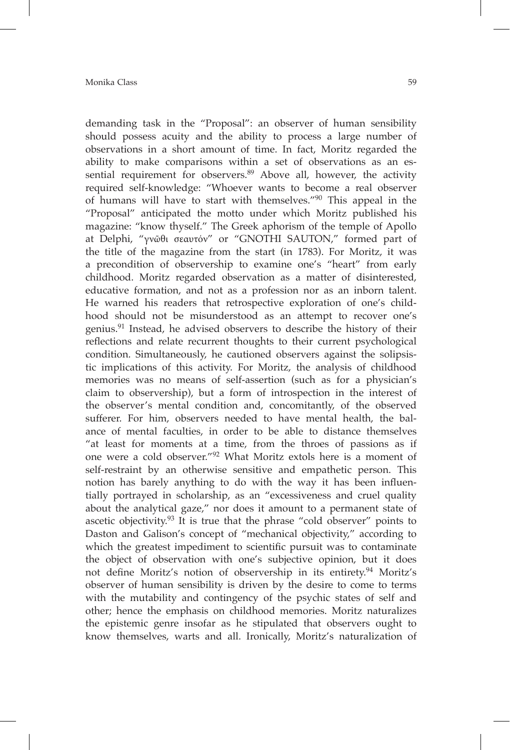demanding task in the "Proposal": an observer of human sensibility should possess acuity and the ability to process a large number of observations in a short amount of time. In fact, Moritz regarded the ability to make comparisons within a set of observations as an essential requirement for observers.<sup>89</sup> Above all, however, the activity required self-knowledge: "Whoever wants to become a real observer of humans will have to start with themselves."90 This appeal in the "Proposal" anticipated the motto under which Moritz published his magazine: "know thyself." The Greek aphorism of the temple of Apollo at Delphi, "γνῶθι σεαυτόν" or "GNOTHI SAUTON," formed part of the title of the magazine from the start (in 1783). For Moritz, it was a precondition of observership to examine one's "heart" from early childhood. Moritz regarded observation as a matter of disinterested, educative formation, and not as a profession nor as an inborn talent. He warned his readers that retrospective exploration of one's childhood should not be misunderstood as an attempt to recover one's genius.91 Instead, he advised observers to describe the history of their reflections and relate recurrent thoughts to their current psychological condition. Simultaneously, he cautioned observers against the solipsistic implications of this activity. For Moritz, the analysis of childhood memories was no means of self-assertion (such as for a physician's claim to observership), but a form of introspection in the interest of the observer's mental condition and, concomitantly, of the observed sufferer. For him, observers needed to have mental health, the balance of mental faculties, in order to be able to distance themselves "at least for moments at a time, from the throes of passions as if one were a cold observer."92 What Moritz extols here is a moment of self-restraint by an otherwise sensitive and empathetic person. This notion has barely anything to do with the way it has been influentially portrayed in scholarship, as an "excessiveness and cruel quality about the analytical gaze," nor does it amount to a permanent state of ascetic objectivity.<sup>93</sup> It is true that the phrase "cold observer" points to Daston and Galison's concept of "mechanical objectivity," according to which the greatest impediment to scientific pursuit was to contaminate the object of observation with one's subjective opinion, but it does not define Moritz's notion of observership in its entirety.94 Moritz's observer of human sensibility is driven by the desire to come to terms with the mutability and contingency of the psychic states of self and other; hence the emphasis on childhood memories. Moritz naturalizes the epistemic genre insofar as he stipulated that observers ought to know themselves, warts and all. Ironically, Moritz's naturalization of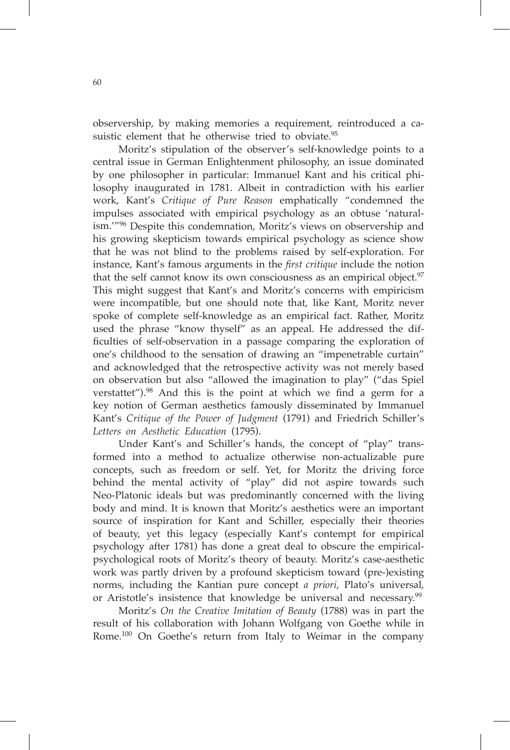observership, by making memories a requirement, reintroduced a casuistic element that he otherwise tried to obviate.<sup>95</sup>

Moritz's stipulation of the observer's self-knowledge points to a central issue in German Enlightenment philosophy, an issue dominated by one philosopher in particular: Immanuel Kant and his critical philosophy inaugurated in 1781. Albeit in contradiction with his earlier work, Kant's *Critique of Pure Reason* emphatically "condemned the impulses associated with empirical psychology as an obtuse 'naturalism.'"96 Despite this condemnation, Moritz's views on observership and his growing skepticism towards empirical psychology as science show that he was not blind to the problems raised by self-exploration. For instance, Kant's famous arguments in the *first critique* include the notion that the self cannot know its own consciousness as an empirical object.<sup>97</sup> This might suggest that Kant's and Moritz's concerns with empiricism were incompatible, but one should note that, like Kant, Moritz never spoke of complete self-knowledge as an empirical fact. Rather, Moritz used the phrase "know thyself" as an appeal. He addressed the difficulties of self-observation in a passage comparing the exploration of one's childhood to the sensation of drawing an "impenetrable curtain" and acknowledged that the retrospective activity was not merely based on observation but also "allowed the imagination to play" ("das Spiel verstattet").<sup>98</sup> And this is the point at which we find a germ for a key notion of German aesthetics famously disseminated by Immanuel Kant's *Critique of the Power of Judgment* (1791) and Friedrich Schiller's *Letters on Aesthetic Education* (1795).

Under Kant's and Schiller's hands, the concept of "play" transformed into a method to actualize otherwise non-actualizable pure concepts, such as freedom or self. Yet, for Moritz the driving force behind the mental activity of "play" did not aspire towards such Neo-Platonic ideals but was predominantly concerned with the living body and mind. It is known that Moritz's aesthetics were an important source of inspiration for Kant and Schiller, especially their theories of beauty, yet this legacy (especially Kant's contempt for empirical psychology after 1781) has done a great deal to obscure the empiricalpsychological roots of Moritz's theory of beauty. Moritz's case-aesthetic work was partly driven by a profound skepticism toward (pre-)existing norms, including the Kantian pure concept *a priori*, Plato's universal, or Aristotle's insistence that knowledge be universal and necessary.<sup>99</sup>

Moritz's *On the Creative Imitation of Beauty* (1788) was in part the result of his collaboration with Johann Wolfgang von Goethe while in Rome.<sup>100</sup> On Goethe's return from Italy to Weimar in the company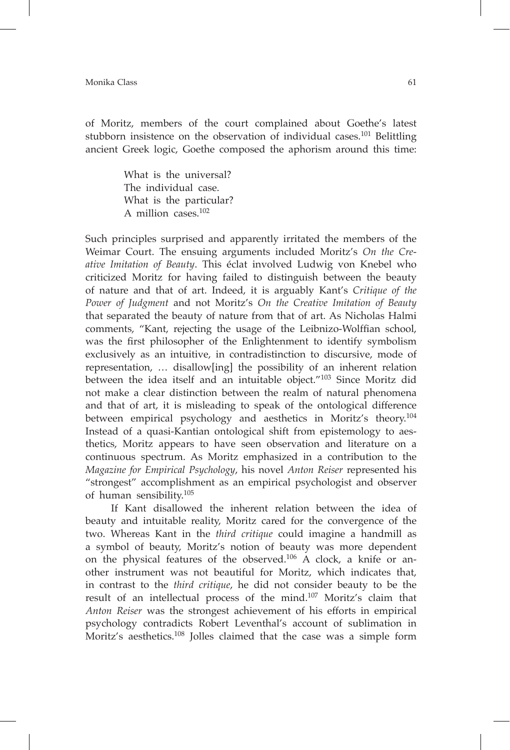of Moritz, members of the court complained about Goethe's latest stubborn insistence on the observation of individual cases.<sup>101</sup> Belittling ancient Greek logic, Goethe composed the aphorism around this time:

> What is the universal? The individual case. What is the particular? A million cases.<sup>102</sup>

Such principles surprised and apparently irritated the members of the Weimar Court. The ensuing arguments included Moritz's *On the Creative Imitation of Beauty*. This éclat involved Ludwig von Knebel who criticized Moritz for having failed to distinguish between the beauty of nature and that of art. Indeed, it is arguably Kant's *Critique of the Power of Judgment* and not Moritz's *On the Creative Imitation of Beauty* that separated the beauty of nature from that of art. As Nicholas Halmi comments, "Kant, rejecting the usage of the Leibnizo-Wolffian school, was the first philosopher of the Enlightenment to identify symbolism exclusively as an intuitive, in contradistinction to discursive, mode of representation, … disallow[ing] the possibility of an inherent relation between the idea itself and an intuitable object."103 Since Moritz did not make a clear distinction between the realm of natural phenomena and that of art, it is misleading to speak of the ontological difference between empirical psychology and aesthetics in Moritz's theory.<sup>104</sup> Instead of a quasi-Kantian ontological shift from epistemology to aesthetics, Moritz appears to have seen observation and literature on a continuous spectrum. As Moritz emphasized in a contribution to the *Magazine for Empirical Psychology*, his novel *Anton Reiser* represented his "strongest" accomplishment as an empirical psychologist and observer of human sensibility.<sup>105</sup>

If Kant disallowed the inherent relation between the idea of beauty and intuitable reality, Moritz cared for the convergence of the two. Whereas Kant in the *third critique* could imagine a handmill as a symbol of beauty, Moritz's notion of beauty was more dependent on the physical features of the observed.<sup>106</sup> A clock, a knife or another instrument was not beautiful for Moritz, which indicates that, in contrast to the *third critique*, he did not consider beauty to be the result of an intellectual process of the mind.107 Moritz's claim that *Anton Reiser* was the strongest achievement of his efforts in empirical psychology contradicts Robert Leventhal's account of sublimation in Moritz's aesthetics.<sup>108</sup> Jolles claimed that the case was a simple form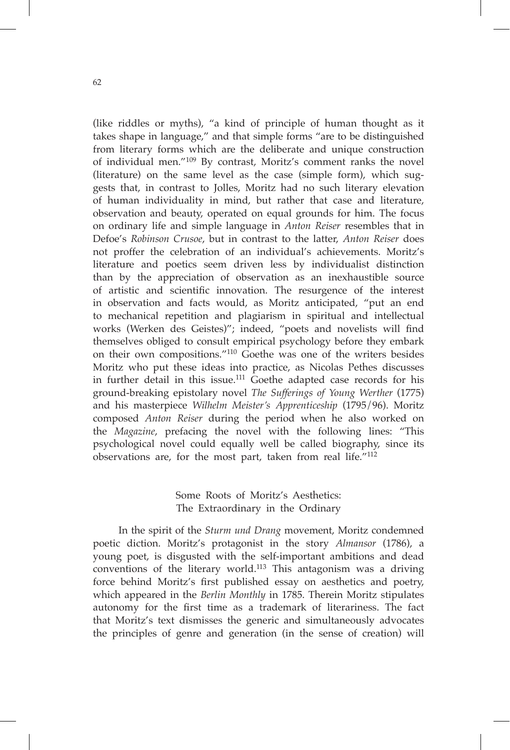(like riddles or myths), "a kind of principle of human thought as it takes shape in language," and that simple forms "are to be distinguished from literary forms which are the deliberate and unique construction of individual men."109 By contrast, Moritz's comment ranks the novel (literature) on the same level as the case (simple form), which suggests that, in contrast to Jolles, Moritz had no such literary elevation of human individuality in mind, but rather that case and literature, observation and beauty, operated on equal grounds for him. The focus on ordinary life and simple language in *Anton Reiser* resembles that in Defoe's *Robinson Crusoe*, but in contrast to the latter, *Anton Reiser* does not proffer the celebration of an individual's achievements. Moritz's literature and poetics seem driven less by individualist distinction than by the appreciation of observation as an inexhaustible source of artistic and scientific innovation. The resurgence of the interest in observation and facts would, as Moritz anticipated, "put an end to mechanical repetition and plagiarism in spiritual and intellectual works (Werken des Geistes)"; indeed, "poets and novelists will find themselves obliged to consult empirical psychology before they embark on their own compositions."110 Goethe was one of the writers besides Moritz who put these ideas into practice, as Nicolas Pethes discusses in further detail in this issue.111 Goethe adapted case records for his ground-breaking epistolary novel *The Sufferings of Young Werther* (1775) and his masterpiece *Wilhelm Meister's Apprenticeship* (1795/96). Moritz composed *Anton Reiser* during the period when he also worked on the *Magazine*, prefacing the novel with the following lines: "This psychological novel could equally well be called biography, since its observations are, for the most part, taken from real life."<sup>112</sup>

> Some Roots of Moritz's Aesthetics: The Extraordinary in the Ordinary

In the spirit of the *Sturm und Drang* movement, Moritz condemned poetic diction. Moritz's protagonist in the story *Almansor* (1786), a young poet, is disgusted with the self-important ambitions and dead conventions of the literary world.113 This antagonism was a driving force behind Moritz's first published essay on aesthetics and poetry, which appeared in the *Berlin Monthly* in 1785. Therein Moritz stipulates autonomy for the first time as a trademark of literariness. The fact that Moritz's text dismisses the generic and simultaneously advocates the principles of genre and generation (in the sense of creation) will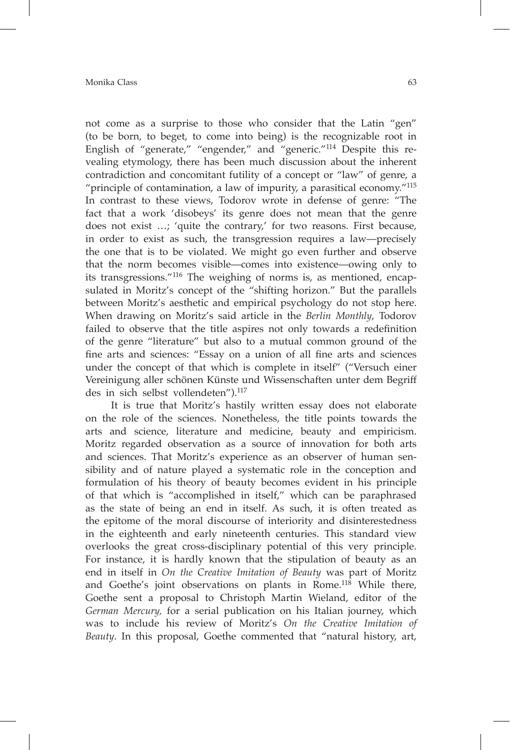not come as a surprise to those who consider that the Latin "gen" (to be born, to beget, to come into being) is the recognizable root in English of "generate," "engender," and "generic."114 Despite this revealing etymology, there has been much discussion about the inherent contradiction and concomitant futility of a concept or "law" of genre, a "principle of contamination, a law of impurity, a parasitical economy." $115$ In contrast to these views, Todorov wrote in defense of genre: "The fact that a work 'disobeys' its genre does not mean that the genre does not exist …; 'quite the contrary,' for two reasons. First because, in order to exist as such, the transgression requires a law—precisely the one that is to be violated. We might go even further and observe that the norm becomes visible—comes into existence—owing only to its transgressions."116 The weighing of norms is, as mentioned, encapsulated in Moritz's concept of the "shifting horizon." But the parallels between Moritz's aesthetic and empirical psychology do not stop here. When drawing on Moritz's said article in the *Berlin Monthly*, Todorov failed to observe that the title aspires not only towards a redefinition of the genre "literature" but also to a mutual common ground of the fine arts and sciences: "Essay on a union of all fine arts and sciences under the concept of that which is complete in itself" ("Versuch einer Vereinigung aller schönen Künste und Wissenschaften unter dem Begriff des in sich selbst vollendeten").<sup>117</sup>

It is true that Moritz's hastily written essay does not elaborate on the role of the sciences. Nonetheless, the title points towards the arts and science, literature and medicine, beauty and empiricism. Moritz regarded observation as a source of innovation for both arts and sciences. That Moritz's experience as an observer of human sensibility and of nature played a systematic role in the conception and formulation of his theory of beauty becomes evident in his principle of that which is "accomplished in itself," which can be paraphrased as the state of being an end in itself. As such, it is often treated as the epitome of the moral discourse of interiority and disinterestedness in the eighteenth and early nineteenth centuries. This standard view overlooks the great cross-disciplinary potential of this very principle. For instance, it is hardly known that the stipulation of beauty as an end in itself in *On the Creative Imitation of Beauty* was part of Moritz and Goethe's joint observations on plants in Rome.<sup>118</sup> While there, Goethe sent a proposal to Christoph Martin Wieland, editor of the *German Mercury,* for a serial publication on his Italian journey, which was to include his review of Moritz's *On the Creative Imitation of Beauty*. In this proposal, Goethe commented that "natural history, art,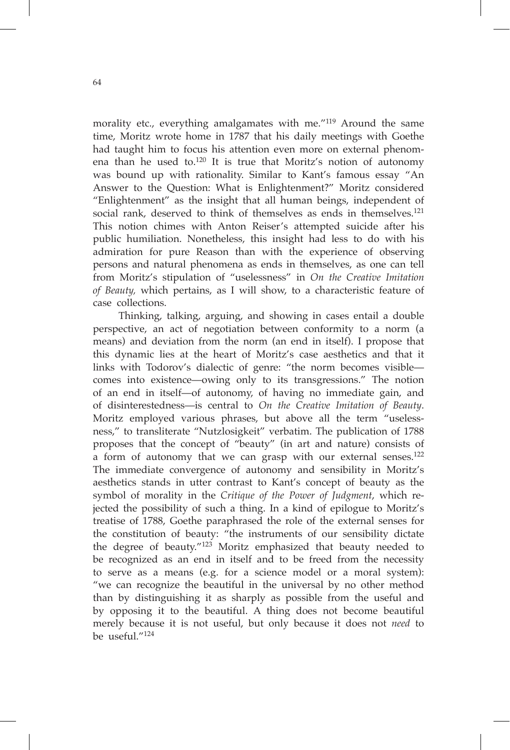morality etc., everything amalgamates with me."<sup>119</sup> Around the same time, Moritz wrote home in 1787 that his daily meetings with Goethe had taught him to focus his attention even more on external phenomena than he used to.120 It is true that Moritz's notion of autonomy was bound up with rationality. Similar to Kant's famous essay "An Answer to the Question: What is Enlightenment?" Moritz considered "Enlightenment" as the insight that all human beings, independent of social rank, deserved to think of themselves as ends in themselves.<sup>121</sup> This notion chimes with Anton Reiser's attempted suicide after his public humiliation. Nonetheless, this insight had less to do with his admiration for pure Reason than with the experience of observing persons and natural phenomena as ends in themselves, as one can tell from Moritz's stipulation of "uselessness" in *On the Creative Imitation of Beauty,* which pertains, as I will show, to a characteristic feature of case collections.

Thinking, talking, arguing, and showing in cases entail a double perspective, an act of negotiation between conformity to a norm (a means) and deviation from the norm (an end in itself). I propose that this dynamic lies at the heart of Moritz's case aesthetics and that it links with Todorov's dialectic of genre: "the norm becomes visible comes into existence—owing only to its transgressions." The notion of an end in itself—of autonomy, of having no immediate gain, and of disinterestedness—is central to *On the Creative Imitation of Beauty*. Moritz employed various phrases, but above all the term "uselessness," to transliterate "Nutzlosigkeit" verbatim. The publication of 1788 proposes that the concept of "beauty" (in art and nature) consists of a form of autonomy that we can grasp with our external senses.<sup>122</sup> The immediate convergence of autonomy and sensibility in Moritz's aesthetics stands in utter contrast to Kant's concept of beauty as the symbol of morality in the *Critique of the Power of Judgment*, which rejected the possibility of such a thing. In a kind of epilogue to Moritz's treatise of 1788, Goethe paraphrased the role of the external senses for the constitution of beauty: "the instruments of our sensibility dictate the degree of beauty."123 Moritz emphasized that beauty needed to be recognized as an end in itself and to be freed from the necessity to serve as a means (e.g. for a science model or a moral system): "we can recognize the beautiful in the universal by no other method than by distinguishing it as sharply as possible from the useful and by opposing it to the beautiful. A thing does not become beautiful merely because it is not useful, but only because it does not *need* to be useful." $124$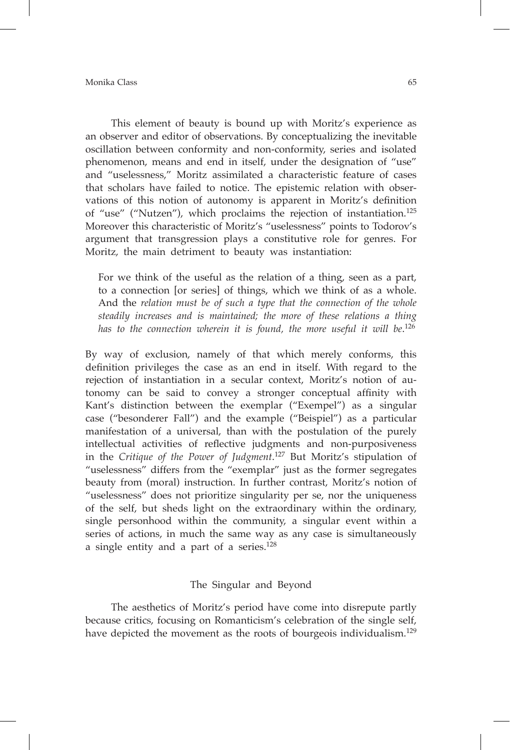This element of beauty is bound up with Moritz's experience as an observer and editor of observations. By conceptualizing the inevitable oscillation between conformity and non-conformity, series and isolated phenomenon, means and end in itself, under the designation of "use" and "uselessness," Moritz assimilated a characteristic feature of cases that scholars have failed to notice. The epistemic relation with observations of this notion of autonomy is apparent in Moritz's definition of "use" ("Nutzen"), which proclaims the rejection of instantiation.<sup>125</sup> Moreover this characteristic of Moritz's "uselessness" points to Todorov's argument that transgression plays a constitutive role for genres. For Moritz, the main detriment to beauty was instantiation:

For we think of the useful as the relation of a thing, seen as a part, to a connection [or series] of things, which we think of as a whole. And the *relation must be of such a type that the connection of the whole steadily increases and is maintained; the more of these relations a thing has to the connection wherein it is found, the more useful it will be*. 126

By way of exclusion, namely of that which merely conforms, this definition privileges the case as an end in itself. With regard to the rejection of instantiation in a secular context, Moritz's notion of autonomy can be said to convey a stronger conceptual affinity with Kant's distinction between the exemplar ("Exempel") as a singular case ("besonderer Fall") and the example ("Beispiel") as a particular manifestation of a universal, than with the postulation of the purely intellectual activities of reflective judgments and non-purposiveness in the *Critique of the Power of Judgment*. 127 But Moritz's stipulation of "uselessness" differs from the "exemplar" just as the former segregates beauty from (moral) instruction. In further contrast, Moritz's notion of "uselessness" does not prioritize singularity per se, nor the uniqueness of the self, but sheds light on the extraordinary within the ordinary, single personhood within the community, a singular event within a series of actions, in much the same way as any case is simultaneously a single entity and a part of a series.<sup>128</sup>

### The Singular and Beyond

The aesthetics of Moritz's period have come into disrepute partly because critics, focusing on Romanticism's celebration of the single self, have depicted the movement as the roots of bourgeois individualism.<sup>129</sup>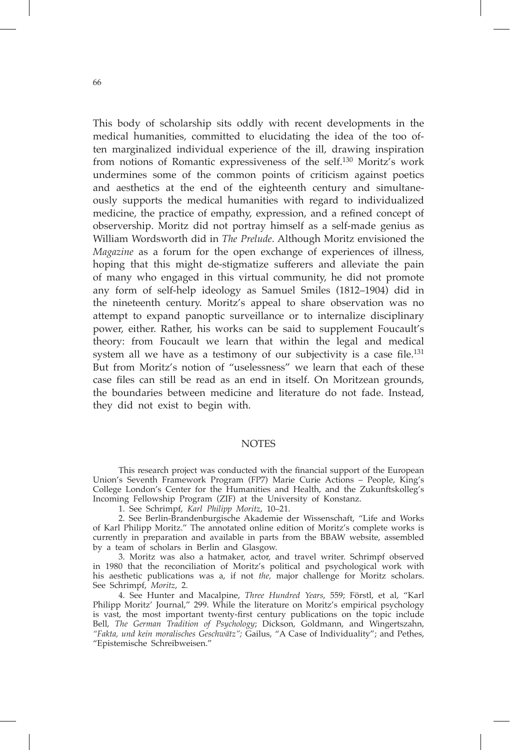This body of scholarship sits oddly with recent developments in the medical humanities, committed to elucidating the idea of the too often marginalized individual experience of the ill, drawing inspiration from notions of Romantic expressiveness of the self.130 Moritz's work undermines some of the common points of criticism against poetics and aesthetics at the end of the eighteenth century and simultaneously supports the medical humanities with regard to individualized medicine, the practice of empathy, expression, and a refined concept of observership. Moritz did not portray himself as a self-made genius as William Wordsworth did in *The Prelude*. Although Moritz envisioned the *Magazine* as a forum for the open exchange of experiences of illness, hoping that this might de-stigmatize sufferers and alleviate the pain of many who engaged in this virtual community, he did not promote any form of self-help ideology as Samuel Smiles (1812–1904) did in the nineteenth century. Moritz's appeal to share observation was no attempt to expand panoptic surveillance or to internalize disciplinary power, either. Rather, his works can be said to supplement Foucault's theory: from Foucault we learn that within the legal and medical system all we have as a testimony of our subjectivity is a case file.<sup>131</sup> But from Moritz's notion of "uselessness" we learn that each of these case files can still be read as an end in itself. On Moritzean grounds, the boundaries between medicine and literature do not fade. Instead, they did not exist to begin with.

#### **NOTES**

This research project was conducted with the financial support of the European Union's Seventh Framework Program (FP7) Marie Curie Actions – People, King's College London's Center for the Humanities and Health, and the Zukunftskolleg's Incoming Fellowship Program (ZIF) at the University of Konstanz.

1. See Schrimpf, *Karl Philipp Moritz*, 10–21.

2. See Berlin-Brandenburgische Akademie der Wissenschaft, "Life and Works of Karl Philipp Moritz." The annotated online edition of Moritz's complete works is currently in preparation and available in parts from the BBAW website, assembled by a team of scholars in Berlin and Glasgow.

3. Moritz was also a hatmaker, actor, and travel writer. Schrimpf observed in 1980 that the reconciliation of Moritz's political and psychological work with his aesthetic publications was a, if not *the,* major challenge for Moritz scholars. See Schrimpf, *Moritz*, 2.

4. See Hunter and Macalpine, *Three Hundred Years*, 559; Förstl, et al, "Karl Philipp Moritz' Journal," 299. While the literature on Moritz's empirical psychology is vast, the most important twenty-first century publications on the topic include Bell, *The German Tradition of Psychology*; Dickson, Goldmann, and Wingertszahn, *"Fakta, und kein moralisches Geschwätz";* Gailus, "A Case of Individuality"; and Pethes, "Epistemische Schreibweisen."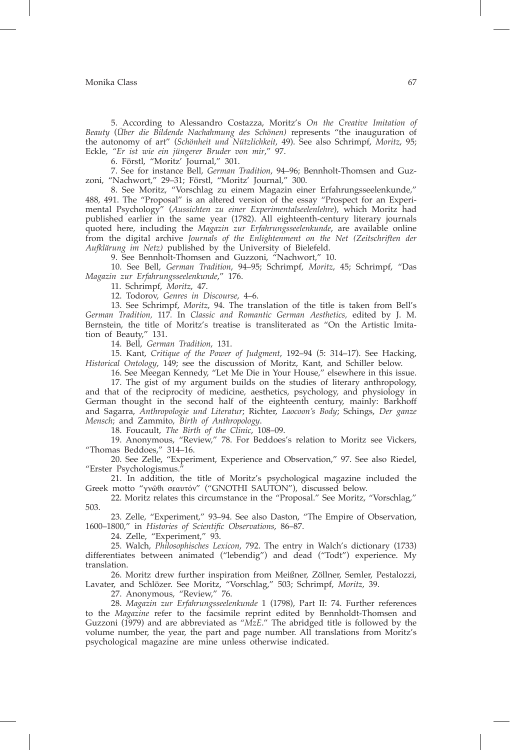5. According to Alessandro Costazza, Moritz's *On the Creative Imitation of Beauty* (*Über die Bildende Nachahmung des Schönen)* represents "the inauguration of the autonomy of art" (*Schönheit und Nützlichkeit*, 49). See also Schrimpf, *Moritz*, 95; Eckle, *"Er ist wie ein jüngerer Bruder von mir*," 97.

6. Förstl, "Moritz' Journal," 301.

7. See for instance Bell, *German Tradition*, 94–96; Bennholt-Thomsen and Guzzoni, "Nachwort," 29–31; Förstl, "Moritz' Journal," 300.

8. See Moritz, "Vorschlag zu einem Magazin einer Erfahrungsseelenkunde," 488, 491. The "Proposal" is an altered version of the essay "Prospect for an Experimental Psychology" (*Aussichten zu einer Experimentalseelenlehre*), which Moritz had published earlier in the same year (1782). All eighteenth-century literary journals quoted here, including the *Magazin zur Erfahrungsseelenkunde*, are available online from the digital archive *Journals of the Enlightenment on the Net (Zeitschriften der Aufklärung im Netz)* published by the University of Bielefeld.

9. See Bennholt-Thomsen and Guzzoni, "Nachwort," 10.

10. See Bell, *German Tradition*, 94–95; Schrimpf, *Moritz*, 45; Schrimpf, "Das *Magazin zur Erfahrungsseelenkunde*," 176.

11. Schrimpf, *Moritz*, 47.

12. Todorov, *Genres in Discourse*, 4–6.

13. See Schrimpf, *Moritz*, 94. The translation of the title is taken from Bell's *German Tradition,* 117*.* In *Classic and Romantic German Aesthetics,* edited by J. M. Bernstein, the title of Moritz's treatise is transliterated as "On the Artistic Imitation of Beauty," 131.

14. Bell, *German Tradition*, 131.

15. Kant, *Critique of the Power of Judgment*, 192–94 (5: 314–17). See Hacking, *Historical Ontology*, 149; see the discussion of Moritz, Kant, and Schiller below.

16. See Meegan Kennedy, "Let Me Die in Your House," elsewhere in this issue.

17. The gist of my argument builds on the studies of literary anthropology, and that of the reciprocity of medicine, aesthetics, psychology, and physiology in German thought in the second half of the eighteenth century, mainly: Barkhoff and Sagarra, *Anthropologie und Literatur*; Richter, *Laocoon's Body*; Schings, *Der ganze Mensch*; and Zammito, *Birth of Anthropology*.

18. Foucault, *The Birth of the Clinic*, 108–09.

19. Anonymous, "Review," 78. For Beddoes's relation to Moritz see Vickers, "Thomas Beddoes," 314–16.

20. See Zelle, "Experiment, Experience and Observation," 97. See also Riedel, "Erster Psychologismus."

21. In addition, the title of Moritz's psychological magazine included the Greek motto "γνῶθι σεαυτόν" ("GNOTHI SAUTON"), discussed below.

22. Moritz relates this circumstance in the "Proposal." See Moritz, "Vorschlag," 503.

23. Zelle, "Experiment," 93–94. See also Daston, "The Empire of Observation, 1600–1800," in *Histories of Scientific Observations*, 86–87.

24. Zelle, "Experiment," 93.

25. Walch, *Philosophisches Lexicon*, 792. The entry in Walch's dictionary (1733) differentiates between animated ("lebendig") and dead ("Todt") experience. My translation.

26. Moritz drew further inspiration from Meißner, Zöllner, Semler, Pestalozzi, Lavater, and Schlözer. See Moritz, "Vorschlag," 503; Schrimpf, *Moritz*, 39.

27. Anonymous, "Review," 76.

28. *Magazin zur Erfahrungsseelenkunde* 1 (1798), Part II: 74. Further references to the *Magazine* refer to the facsimile reprint edited by Bennholdt-Thomsen and Guzzoni (1979) and are abbreviated as "*MzE*." The abridged title is followed by the volume number, the year, the part and page number. All translations from Moritz's psychological magazine are mine unless otherwise indicated.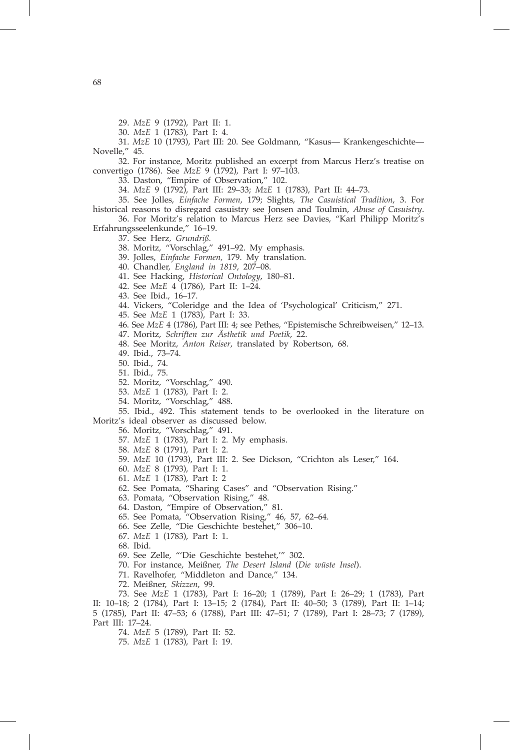- 29. *MzE* 9 (1792), Part II: 1.
- 30. *MzE* 1 (1783), Part I: 4.

31. *MzE* 10 (1793), Part III: 20. See Goldmann, "Kasus— Krankengeschichte— Novelle," 45.

32. For instance, Moritz published an excerpt from Marcus Herz's treatise on convertigo (1786). See *MzE* 9 (1792), Part I: 97–103.

33. Daston, "Empire of Observation," 102.

34. *MzE* 9 (1792), Part III: 29–33; *MzE* 1 (1783), Part II: 44–73.

35. See Jolles, *Einfache Formen*, 179; Slights, *The Casuistical Tradition*, 3. For historical reasons to disregard casuistry see Jonsen and Toulmin, *Abuse of Casuistry*.

36. For Moritz's relation to Marcus Herz see Davies, "Karl Philipp Moritz's Erfahrungsseelenkunde," 16–19.

37. See Herz*, Grundriß.*

38. Moritz, "Vorschlag," 491–92. My emphasis.

39. Jolles, *Einfache Formen,* 179. My translation.

- 40. Chandler, *England in 1819*, 207–08.
- 41. See Hacking, *Historical Ontology*, 180–81.
- 42. See *MzE* 4 (1786), Part II: 1–24.
- 43. See Ibid., 16–17.
- 44. Vickers, "Coleridge and the Idea of 'Psychological' Criticism," 271.
- 45. See *MzE* 1 (1783), Part I: 33.
- 46. See *MzE* 4 (1786), Part III: 4; see Pethes, "Epistemische Schreibweisen," 12–13.
- 47. Moritz, *Schriften zur Ästhetik und Poetik*, 22.
- 48. See Moritz, *Anton Reiser*, translated by Robertson, 68.
- 49. Ibid., 73–74.
- 50. Ibid., 74.
- 51. Ibid., 75.
- 52. Moritz, "Vorschlag," 490.
- 53. *MzE* 1 (1783), Part I: 2.
- 54. Moritz, "Vorschlag," 488.

55. Ibid., 492. This statement tends to be overlooked in the literature on Moritz's ideal observer as discussed below.

56. Moritz, "Vorschlag," 491.

- 57. *MzE* 1 (1783), Part I: 2. My emphasis.
- 58. *MzE* 8 (1791), Part I: 2.
- 59. *MzE* 10 (1793), Part III: 2. See Dickson, "Crichton als Leser," 164.
- 60. *MzE* 8 (1793), Part I: 1.
- 61. *MzE* 1 (1783), Part I: 2
- 62. See Pomata, "Sharing Cases" and "Observation Rising."
- 63. Pomata, "Observation Rising," 48.
- 64. Daston, "Empire of Observation," 81.
- 65. See Pomata, "Observation Rising," 46, 57, 62–64.
- 66. See Zelle, "Die Geschichte bestehet," 306–10.
- 67. *MzE* 1 (1783), Part I: 1.
- 68. Ibid.
- 69. See Zelle, "'Die Geschichte bestehet,'" 302.
- 70. For instance, Meißner, *The Desert Island* (*Die wüste Insel*).
- 71. Ravelhofer, "Middleton and Dance," 134.
- 72. Meißner, *Skizzen*, 99.

73. See *MzE* 1 (1783), Part I: 16–20; 1 (1789), Part I: 26–29; 1 (1783), Part II: 10–18; 2 (1784), Part I: 13–15; 2 (1784), Part II: 40–50; 3 (1789), Part II: 1–14; 5 (1785), Part II: 47–53; 6 (1788), Part III: 47–51; 7 (1789), Part I: 28–73; 7 (1789), Part III: 17–24.

- 74. *MzE* 5 (1789), Part II: 52.
- 75. *MzE* 1 (1783), Part I: 19.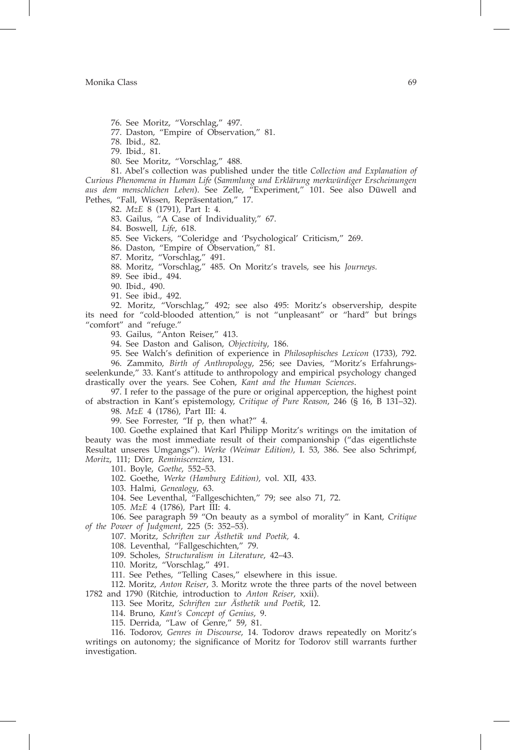76. See Moritz, "Vorschlag," 497.

77. Daston, "Empire of Observation," 81.

78. Ibid., 82.

79. Ibid., 81.

80. See Moritz, "Vorschlag," 488.

81. Abel's collection was published under the title *Collection and Explanation of Curious Phenomena in Human Life* (*Sammlung und Erklärung merkwürdiger Erscheinungen aus dem menschlichen Leben*). See Zelle, "Experiment," 101. See also Düwell and Pethes, "Fall, Wissen, Repräsentation," 17.

82. *MzE* 8 (1791), Part I: 4.

83. Gailus, "A Case of Individuality," 67.

84. Boswell, *Life*, 618.

85. See Vickers, "Coleridge and 'Psychological' Criticism," 269.

86. Daston, "Empire of Observation," 81.

87. Moritz, "Vorschlag," 491.

88. Moritz, "Vorschlag," 485. On Moritz's travels, see his *Journeys.*

89. See ibid., 494.

90. Ibid., 490.

91. See ibid., 492.

92. Moritz, "Vorschlag," 492; see also 495: Moritz's observership, despite its need for "cold-blooded attention," is not "unpleasant" or "hard" but brings "comfort" and "refuge."

93. Gailus, "Anton Reiser," 413.

94. See Daston and Galison, *Objectivity*, 186.

95. See Walch's definition of experience in *Philosophisches Lexicon* (1733), 792.

96. Zammito, *Birth of Anthropology*, 256; see Davies, "Moritz's Erfahrungsseelenkunde," 33. Kant's attitude to anthropology and empirical psychology changed drastically over the years. See Cohen, *Kant and the Human Sciences*.

97. I refer to the passage of the pure or original apperception, the highest point of abstraction in Kant's epistemology, *Critique of Pure Reason*, 246 (§ 16, B 131–32).

98. *MzE* 4 (1786), Part III: 4.

99. See Forrester, "If p, then what?" 4.

100. Goethe explained that Karl Philipp Moritz's writings on the imitation of beauty was the most immediate result of their companionship ("das eigentlichste Resultat unseres Umgangs"). *Werke (Weimar Edition)*, I. 53, 386. See also Schrimpf, *Moritz*, 111; Dörr, *Reminiscenzien*, 131.

101. Boyle, *Goethe*, 552–53.

102. Goethe, *Werke (Hamburg Edition)*, vol. XII, 433.

103. Halmi, *Genealogy*, 63.

104. See Leventhal, "Fallgeschichten," 79; see also 71, 72.

105. *MzE* 4 (1786), Part III: 4.

106. See paragraph 59 "On beauty as a symbol of morality" in Kant, *Critique of the Power of Judgment*, 225 (5: 352–53).

107. Moritz, *Schriften zur Ästhetik und Poetik,* 4.

108. Leventhal, "Fallgeschichten," 79.

109. Scholes, *Structuralism in Literature*, 42–43.

110. Moritz, "Vorschlag," 491.

111. See Pethes, "Telling Cases," elsewhere in this issue.

112. Moritz, *Anton Reiser*, 3. Moritz wrote the three parts of the novel between 1782 and 1790 (Ritchie, introduction to *Anton Reiser*, xxii).

113. See Moritz, *Schriften zur Ästhetik und Poetik*, 12.

114. Bruno, *Kant's Concept of Genius*, 9.

115. Derrida, "Law of Genre," 59, 81.

116. Todorov, *Genres in Discourse*, 14. Todorov draws repeatedly on Moritz's writings on autonomy; the significance of Moritz for Todorov still warrants further investigation.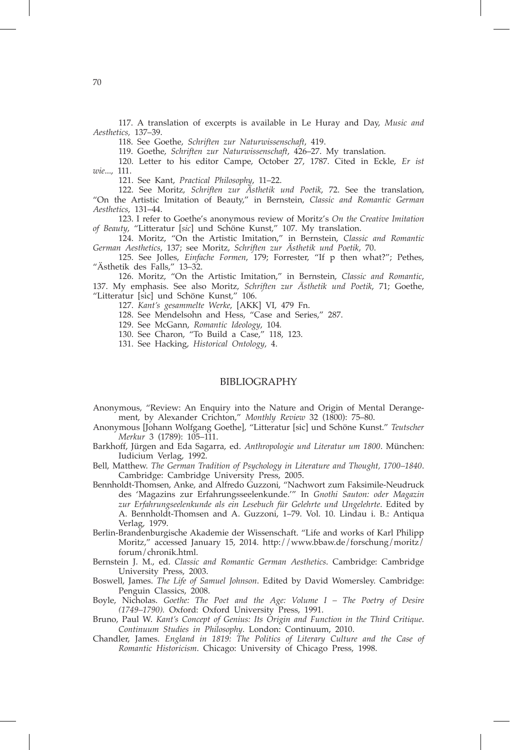117. A translation of excerpts is available in Le Huray and Day, *Music and Aesthetics,* 137–39.

118. See Goethe, *Schriften zur Naturwissenschaft*, 419.

119. Goethe, *Schriften zur Naturwissenschaft*, 426–27. My translation.

120. Letter to his editor Campe, October 27, 1787. Cited in Eckle, *Er ist wie*..., 111.

121. See Kant, *Practical Philosophy*, 11–22.

122. See Moritz, *Schriften zur Ästhetik und Poetik*, 72. See the translation, "On the Artistic Imitation of Beauty," in Bernstein, *Classic and Romantic German Aesthetics*, 131–44.

123. I refer to Goethe's anonymous review of Moritz's *On the Creative Imitation of Beauty*, "Litteratur [*sic*] und Schöne Kunst," 107. My translation.

124. Moritz, "On the Artistic Imitation," in Bernstein, *Classic and Romantic German Aesthetics*, 137; see Moritz, *Schriften zur Ästhetik und Poetik*, 70.

125. See Jolles, *Einfache Formen*, 179; Forrester, "If p then what?"; Pethes, "Ästhetik des Falls," 13–32.

126. Moritz, "On the Artistic Imitation," in Bernstein, *Classic and Romantic*, 137. My emphasis. See also Moritz, *Schriften zur Ästhetik und Poetik*, 71; Goethe, "Litteratur [sic] und Schöne Kunst," 106.

127. *Kant's gesammelte Werke*, [AKK] VI, 479 Fn.

128. See Mendelsohn and Hess, "Case and Series," 287.

129. See McGann, *Romantic Ideology*, 104*.*

130. See Charon, "To Build a Case," 118, 123.

131. See Hacking, *Historical Ontology*, 4.

#### BIBLIOGRAPHY

Anonymous, "Review: An Enquiry into the Nature and Origin of Mental Derangement, by Alexander Crichton," *Monthly Review* 32 (1800): 75–80.

Anonymous [Johann Wolfgang Goethe], "Litteratur [sic] und Schöne Kunst." *Teutscher Merkur* 3 (1789): 105–111.

- Barkhoff, Jürgen and Eda Sagarra, ed. *Anthropologie und Literatur um 1800*. München: Iudicium Verlag, 1992.
- Bell, Matthew. *The German Tradition of Psychology in Literature and Thought, 1700–1840*. Cambridge: Cambridge University Press, 2005.
- Bennholdt-Thomsen, Anke, and Alfredo Guzzoni, "Nachwort zum Faksimile-Neudruck des 'Magazins zur Erfahrungsseelenkunde.'" In *Gnothi Sauton: oder Magazin zur Erfahrungseelenkunde als ein Lesebuch für Gelehrte und Ungelehrte*. Edited by A. Bennholdt-Thomsen and A. Guzzoni, 1–79. Vol. 10. Lindau i. B.: Antiqua Verlag, 1979.

Berlin-Brandenburgische Akademie der Wissenschaft. "Life and works of Karl Philipp Moritz," accessed January 15, 2014. http://www.bbaw.de/forschung/moritz/ forum/chronik.html.

Bernstein J. M., ed. *Classic and Romantic German Aesthetics*. Cambridge: Cambridge University Press, 2003.

Boswell, James. *The Life of Samuel Johnson*. Edited by David Womersley. Cambridge: Penguin Classics, 2008.

Boyle, Nicholas. *Goethe: The Poet and the Age: Volume I – The Poetry of Desire (1749–1790).* Oxford: Oxford University Press, 1991.

Bruno, Paul W. *Kant's Concept of Genius: Its Origin and Function in the Third Critique*. *Continuum Studies in Philosophy*. London: Continuum, 2010.

Chandler, James. *England in 1819: The Politics of Literary Culture and the Case of Romantic Historicism*. Chicago: University of Chicago Press, 1998.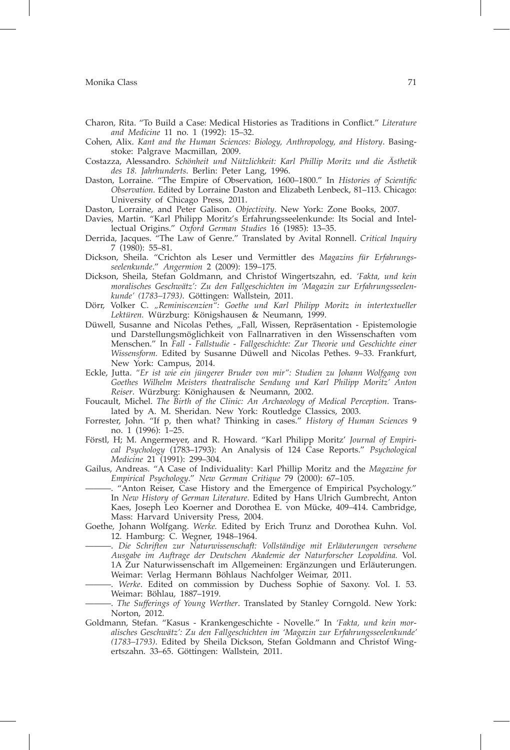- Charon, Rita. "To Build a Case: Medical Histories as Traditions in Conflict." *Literature and Medicine* 11 no. 1 (1992): 15–32.
- Cohen, Alix. *Kant and the Human Sciences: Biology, Anthropology, and History*. Basingstoke: Palgrave Macmillan, 2009.
- Costazza, Alessandro. *Schönheit und Nützlichkeit: Karl Phillip Moritz und die Ästhetik des 18. Jahrhunderts*. Berlin: Peter Lang, 1996.
- Daston, Lorraine. "The Empire of Observation, 1600–1800." In *Histories of Scientific Observation*. Edited by Lorraine Daston and Elizabeth Lenbeck, 81–113. Chicago: University of Chicago Press, 2011.
- Daston, Lorraine, and Peter Galison. *Objectivity*. New York: Zone Books, 2007.
- Davies, Martin. "Karl Philipp Moritz's Erfahrungsseelenkunde: Its Social and Intellectual Origins." *Oxford German Studies* 16 (1985): 13–35.
- Derrida, Jacques. "The Law of Genre." Translated by Avital Ronnell. *Critical Inquiry* 7 (1980): 55–81.
- Dickson, Sheila. "Crichton als Leser und Vermittler des *Magazins für Erfahrungsseelenkunde*." *Angermion* 2 (2009): 159–175.
- Dickson, Sheila, Stefan Goldmann, and Christof Wingertszahn, ed. *'Fakta, und kein moralisches Geschwätz': Zu den Fallgeschichten im 'Magazin zur Erfahrungsseelenkunde' (1783–1793)*. Göttingen: Wallstein, 2011.
- Dörr, Volker C. *"Reminiscenzien": Goethe und Karl Philipp Moritz in intertextueller Lektüren.* Würzburg: Königshausen & Neumann, 1999.
- Düwell, Susanne and Nicolas Pethes, "Fall, Wissen, Repräsentation Epistemologie und Darstellungsmöglichkeit von Fallnarrativen in den Wissenschaften vom Menschen." In *Fall - Fallstudie - Fallgeschichte: Zur Theorie und Geschichte einer Wissensform.* Edited by Susanne Düwell and Nicolas Pethes. 9–33. Frankfurt, New York: Campus, 2014.
- Eckle, Jutta. *"Er ist wie ein jüngerer Bruder von mir": Studien zu Johann Wolfgang von Goethes Wilhelm Meisters theatralische Sendung und Karl Philipp Moritz' Anton Reiser*. Würzburg: Könighausen & Neumann, 2002.
- Foucault, Michel. *The Birth of the Clinic: An Archaeology of Medical Perception*. Translated by A. M. Sheridan. New York: Routledge Classics, 2003.
- Forrester, John. "If p, then what? Thinking in cases." *History of Human Sciences* 9 no. 1 (1996): 1–25.
- Förstl, H; M. Angermeyer, and R. Howard. "Karl Philipp Moritz' *Journal of Empirical Psychology* (1783–1793): An Analysis of 124 Case Reports." *Psychological Medicine* 21 (1991): 299–304.
- Gailus, Andreas. "A Case of Individuality: Karl Phillip Moritz and the *Magazine for Empirical Psychology*." *New German Critique* 79 (2000): 67–105.
	- . "Anton Reiser, Case History and the Emergence of Empirical Psychology." In *New History of German Literature*. Edited by Hans Ulrich Gumbrecht, Anton Kaes, Joseph Leo Koerner and Dorothea E. von Mücke, 409–414. Cambridge, Mass: Harvard University Press, 2004.
- Goethe, Johann Wolfgang. *Werke.* Edited by Erich Trunz and Dorothea Kuhn. Vol. 12. Hamburg: C. Wegner, 1948–1964.
	- ———. *Die Schriften zur Naturwissenschaft: Vollständige mit Erläuterungen versehene Ausgabe im Auftrage der Deutschen Akademie der Naturforscher Leopoldina.* Vol. 1A Zur Naturwissenschaft im Allgemeinen: Ergänzungen und Erläuterungen. Weimar: Verlag Hermann Böhlaus Nachfolger Weimar, 2011.
- ———. *Werke*. Edited on commission by Duchess Sophie of Saxony. Vol. I. 53. Weimar: Böhlau, 1887–1919.
	- ———. *The Sufferings of Young Werther*. Translated by Stanley Corngold. New York: Norton, 2012.
- Goldmann, Stefan. "Kasus Krankengeschichte Novelle." In *'Fakta, und kein moralisches Geschwätz': Zu den Fallgeschichten im 'Magazin zur Erfahrungsseelenkunde' (1783–1793)*. Edited by Sheila Dickson, Stefan Goldmann and Christof Wingertszahn. 33–65. Göttingen: Wallstein, 2011.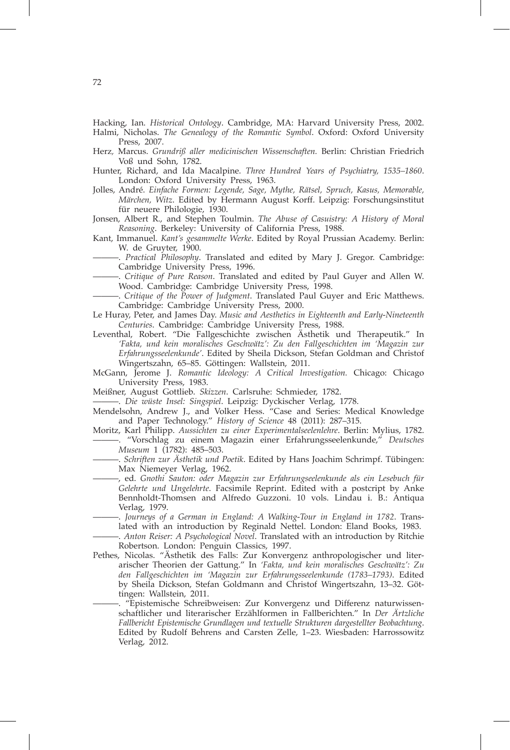Hacking, Ian. *Historical Ontology*. Cambridge, MA: Harvard University Press, 2002.

- Halmi, Nicholas. *The Genealogy of the Romantic Symbol*. Oxford: Oxford University Press, 2007.
- Herz*,* Marcus. *Grundriß aller medicinischen Wissenschaften.* Berlin: Christian Friedrich Voß und Sohn, 1782.
- Hunter, Richard, and Ida Macalpine. *Three Hundred Years of Psychiatry, 1535–1860*. London: Oxford University Press, 1963.
- Jolles, André. *Einfache Formen: Legende, Sage, Mythe, Rätsel, Spruch, Kasus, Memorable, Märchen, Witz*. Edited by Hermann August Korff. Leipzig: Forschungsinstitut für neuere Philologie, 1930.
- Jonsen, Albert R., and Stephen Toulmin. *The Abuse of Casuistry: A History of Moral Reasoning*. Berkeley: University of California Press, 1988.
- Kant, Immanuel. *Kant's gesammelte Werke*. Edited by Royal Prussian Academy. Berlin: W. de Gruyter, 1900.
	- ———. *Practical Philosophy*. Translated and edited by Mary J. Gregor. Cambridge: Cambridge University Press, 1996.
- ———. *Critique of Pure Reason*. Translated and edited by Paul Guyer and Allen W. Wood. Cambridge: Cambridge University Press, 1998.
- ———. *Critique of the Power of Judgment*. Translated Paul Guyer and Eric Matthews. Cambridge: Cambridge University Press, 2000.
- Le Huray, Peter, and James Day. *Music and Aesthetics in Eighteenth and Early-Nineteenth Centuries*. Cambridge: Cambridge University Press, 1988.
- Leventhal, Robert. "Die Fallgeschichte zwischen Ästhetik und Therapeutik." In *'Fakta, und kein moralisches Geschwätz': Zu den Fallgeschichten im 'Magazin zur Erfahrungsseelenkunde'*. Edited by Sheila Dickson, Stefan Goldman and Christof Wingertszahn, 65–85. Göttingen: Wallstein, 2011.
- McGann, Jerome J. *Romantic Ideology: A Critical Investigation.* Chicago: Chicago University Press, 1983.
- Meißner, August Gottlieb. *Skizzen*. Carlsruhe: Schmieder, 1782.
- ———. *Die wüste Insel: Singspiel*. Leipzig: Dyckischer Verlag, 1778.
- Mendelsohn, Andrew J., and Volker Hess. "Case and Series: Medical Knowledge and Paper Technology." *History of Science* 48 (2011): 287–315.
- Moritz, Karl Philipp. *Aussichten zu einer Experimentalseelenlehre*. Berlin: Mylius, 1782. ———. "Vorschlag zu einem Magazin einer Erfahrungsseelenkunde," *Deutsches Museum* 1 (1782): 485–503.
	- ———. *Schriften zur Ästhetik und Poetik*. Edited by Hans Joachim Schrimpf. Tübingen: Max Niemeyer Verlag, 1962.
	- ———, ed. *Gnothi Sauton: oder Magazin zur Erfahrungseelenkunde als ein Lesebuch für Gelehrte und Ungelehrte*. Facsimile Reprint. Edited with a postcript by Anke Bennholdt-Thomsen and Alfredo Guzzoni. 10 vols. Lindau i. B.: Antiqua Verlag, 1979.
	- ———. *Journeys of a German in England: A Walking-Tour in England in 1782*. Translated with an introduction by Reginald Nettel. London: Eland Books, 1983.
- ———. *Anton Reiser: A Psychological Novel*. Translated with an introduction by Ritchie Robertson. London: Penguin Classics, 1997.
- Pethes, Nicolas. "Ästhetik des Falls: Zur Konvergenz anthropologischer und literarischer Theorien der Gattung." In *'Fakta, und kein moralisches Geschwätz': Zu den Fallgeschichten im 'Magazin zur Erfahrungsseelenkunde (1783–1793)*. Edited by Sheila Dickson, Stefan Goldmann and Christof Wingertszahn, 13–32. Göttingen: Wallstein, 2011.
	- ———. "Epistemische Schreibweisen: Zur Konvergenz und Differenz naturwissenschaftlicher und literarischer Erzählformen in Fallberichten." In *Der Ärtzliche Fallbericht Epistemische Grundlagen und textuelle Strukturen dargestellter Beobachtung*. Edited by Rudolf Behrens and Carsten Zelle, 1–23. Wiesbaden: Harrossowitz Verlag, 2012.